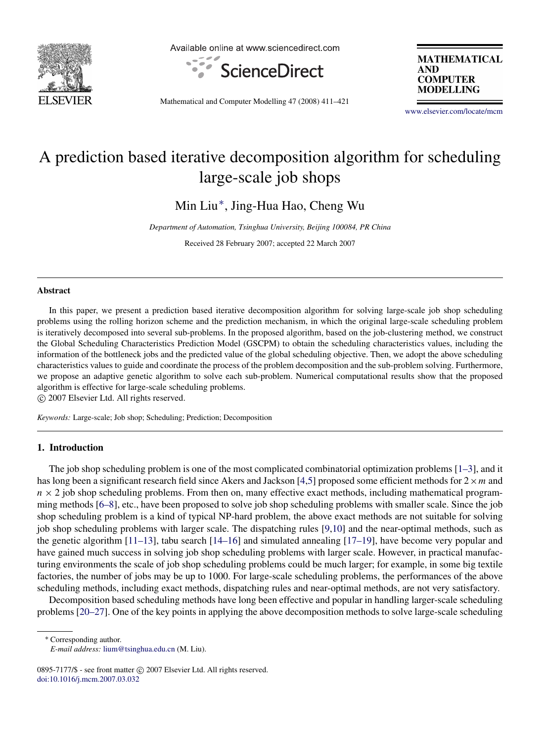

Available online at www.sciencedirect.com



**MATHEMATICAL AND COMPUTER MODELLING** 

Mathematical and Computer Modelling 47 (2008) 411–421

[www.elsevier.com/locate/mcm](http://www.elsevier.com/locate/mcm)

## A prediction based iterative decomposition algorithm for scheduling large-scale job shops

Min Liu[∗](#page-0-0) , Jing-Hua Hao, Cheng Wu

*Department of Automation, Tsinghua University, Beijing 100084, PR China*

Received 28 February 2007; accepted 22 March 2007

#### **Abstract**

In this paper, we present a prediction based iterative decomposition algorithm for solving large-scale job shop scheduling problems using the rolling horizon scheme and the prediction mechanism, in which the original large-scale scheduling problem is iteratively decomposed into several sub-problems. In the proposed algorithm, based on the job-clustering method, we construct the Global Scheduling Characteristics Prediction Model (GSCPM) to obtain the scheduling characteristics values, including the information of the bottleneck jobs and the predicted value of the global scheduling objective. Then, we adopt the above scheduling characteristics values to guide and coordinate the process of the problem decomposition and the sub-problem solving. Furthermore, we propose an adaptive genetic algorithm to solve each sub-problem. Numerical computational results show that the proposed algorithm is effective for large-scale scheduling problems.

c 2007 Elsevier Ltd. All rights reserved.

*Keywords:* Large-scale; Job shop; Scheduling; Prediction; Decomposition

### 1. Introduction

The job shop scheduling problem is one of the most complicated combinatorial optimization problems [\[1–3\]](#page--1-0), and it has long been a significant research field since Akers and Jackson [\[4,](#page--1-1)[5\]](#page--1-2) proposed some efficient methods for 2×*m* and  $n \times 2$  job shop scheduling problems. From then on, many effective exact methods, including mathematical programming methods [\[6–8\]](#page--1-3), etc., have been proposed to solve job shop scheduling problems with smaller scale. Since the job shop scheduling problem is a kind of typical NP-hard problem, the above exact methods are not suitable for solving job shop scheduling problems with larger scale. The dispatching rules [\[9,](#page--1-4)[10\]](#page--1-5) and the near-optimal methods, such as the genetic algorithm [\[11–13\]](#page--1-6), tabu search [\[14–16\]](#page--1-7) and simulated annealing [\[17–19\]](#page--1-8), have become very popular and have gained much success in solving job shop scheduling problems with larger scale. However, in practical manufacturing environments the scale of job shop scheduling problems could be much larger; for example, in some big textile factories, the number of jobs may be up to 1000. For large-scale scheduling problems, the performances of the above scheduling methods, including exact methods, dispatching rules and near-optimal methods, are not very satisfactory.

Decomposition based scheduling methods have long been effective and popular in handling larger-scale scheduling problems [\[20–27\]](#page--1-9). One of the key points in applying the above decomposition methods to solve large-scale scheduling

<span id="page-0-0"></span><sup>∗</sup> Corresponding author.

*E-mail address:* [lium@tsinghua.edu.cn](mailto:lium@tsinghua.edu.cn) (M. Liu).

<sup>0895-7177/\$ -</sup> see front matter © 2007 Elsevier Ltd. All rights reserved. [doi:10.1016/j.mcm.2007.03.032](http://dx.doi.org/10.1016/j.mcm.2007.03.032)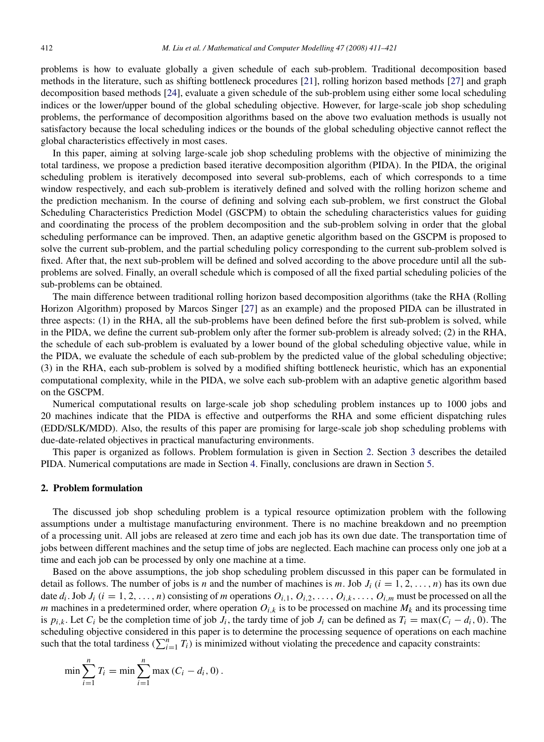problems is how to evaluate globally a given schedule of each sub-problem. Traditional decomposition based methods in the literature, such as shifting bottleneck procedures [\[21\]](#page--1-10), rolling horizon based methods [\[27\]](#page--1-11) and graph decomposition based methods [\[24\]](#page--1-12), evaluate a given schedule of the sub-problem using either some local scheduling indices or the lower/upper bound of the global scheduling objective. However, for large-scale job shop scheduling problems, the performance of decomposition algorithms based on the above two evaluation methods is usually not satisfactory because the local scheduling indices or the bounds of the global scheduling objective cannot reflect the global characteristics effectively in most cases.

In this paper, aiming at solving large-scale job shop scheduling problems with the objective of minimizing the total tardiness, we propose a prediction based iterative decomposition algorithm (PIDA). In the PIDA, the original scheduling problem is iteratively decomposed into several sub-problems, each of which corresponds to a time window respectively, and each sub-problem is iteratively defined and solved with the rolling horizon scheme and the prediction mechanism. In the course of defining and solving each sub-problem, we first construct the Global Scheduling Characteristics Prediction Model (GSCPM) to obtain the scheduling characteristics values for guiding and coordinating the process of the problem decomposition and the sub-problem solving in order that the global scheduling performance can be improved. Then, an adaptive genetic algorithm based on the GSCPM is proposed to solve the current sub-problem, and the partial scheduling policy corresponding to the current sub-problem solved is fixed. After that, the next sub-problem will be defined and solved according to the above procedure until all the subproblems are solved. Finally, an overall schedule which is composed of all the fixed partial scheduling policies of the sub-problems can be obtained.

The main difference between traditional rolling horizon based decomposition algorithms (take the RHA (Rolling Horizon Algorithm) proposed by Marcos Singer [\[27\]](#page--1-11) as an example) and the proposed PIDA can be illustrated in three aspects: (1) in the RHA, all the sub-problems have been defined before the first sub-problem is solved, while in the PIDA, we define the current sub-problem only after the former sub-problem is already solved; (2) in the RHA, the schedule of each sub-problem is evaluated by a lower bound of the global scheduling objective value, while in the PIDA, we evaluate the schedule of each sub-problem by the predicted value of the global scheduling objective; (3) in the RHA, each sub-problem is solved by a modified shifting bottleneck heuristic, which has an exponential computational complexity, while in the PIDA, we solve each sub-problem with an adaptive genetic algorithm based on the GSCPM.

Numerical computational results on large-scale job shop scheduling problem instances up to 1000 jobs and 20 machines indicate that the PIDA is effective and outperforms the RHA and some efficient dispatching rules (EDD/SLK/MDD). Also, the results of this paper are promising for large-scale job shop scheduling problems with due-date-related objectives in practical manufacturing environments.

This paper is organized as follows. Problem formulation is given in Section [2.](#page-1-0) Section [3](#page--1-13) describes the detailed PIDA. Numerical computations are made in Section [4.](#page--1-14) Finally, conclusions are drawn in Section [5.](#page--1-15)

### <span id="page-1-0"></span>2. Problem formulation

The discussed job shop scheduling problem is a typical resource optimization problem with the following assumptions under a multistage manufacturing environment. There is no machine breakdown and no preemption of a processing unit. All jobs are released at zero time and each job has its own due date. The transportation time of jobs between different machines and the setup time of jobs are neglected. Each machine can process only one job at a time and each job can be processed by only one machine at a time.

Based on the above assumptions, the job shop scheduling problem discussed in this paper can be formulated in detail as follows. The number of jobs is *n* and the number of machines is *m*. Job  $J_i$  ( $i = 1, 2, \ldots, n$ ) has its own due date  $d_i$ . Job  $J_i$   $(i = 1, 2, ..., n)$  consisting of m operations  $O_{i,1}, O_{i,2}, ..., O_{i,k}, ..., O_{i,m}$  must be processed on all the *m* machines in a predetermined order, where operation  $O_{i,k}$  is to be processed on machine  $M_k$  and its processing time is  $p_{i,k}$ . Let  $C_i$  be the completion time of job  $J_i$ , the tardy time of job  $J_i$  can be defined as  $T_i = \max(C_i - d_i, 0)$ . The scheduling objective considered in this paper is to determine the processing sequence of operations on each machine such that the total tardiness  $(\sum_{i=1}^{n} T_i)$  is minimized without violating the precedence and capacity constraints:

$$
\min \sum_{i=1}^{n} T_i = \min \sum_{i=1}^{n} \max (C_i - d_i, 0).
$$